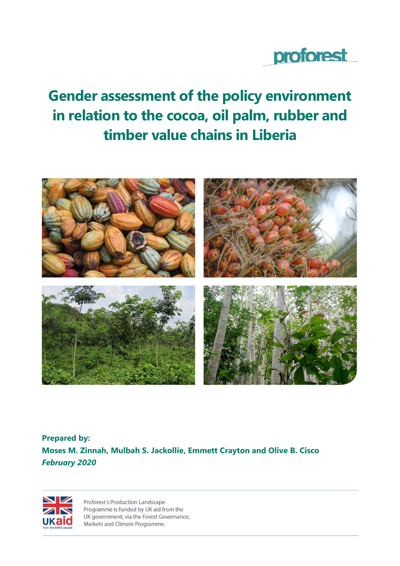

# **Gender assessment of the policy environment in relation to the cocoa, oil palm, rubber and timber value chains in Liberia**



**Prepared by: Moses M. Zinnah, Mulbah S. Jackollie, Emmett Crayton and Olive B. Cisco** *February 2020*



Proforest's Production Landscape Programme is funded by UK aid from the UK government, via the Forest Governance, Markets and Climate Programme.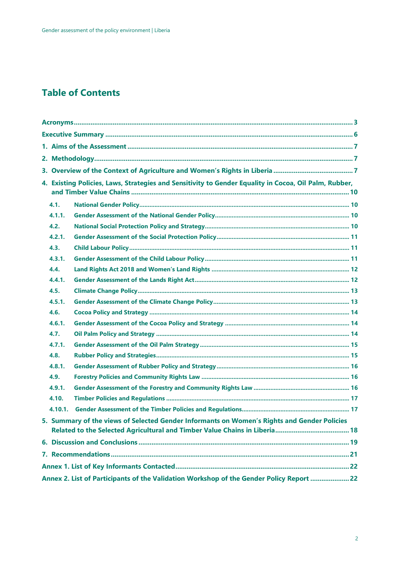# **Table of Contents**

|         | 4. Existing Policies, Laws, Strategies and Sensitivity to Gender Equality in Cocoa, Oil Palm, Rubber, |  |  |  |
|---------|-------------------------------------------------------------------------------------------------------|--|--|--|
|         |                                                                                                       |  |  |  |
| 4.1.    |                                                                                                       |  |  |  |
| 4.1.1.  |                                                                                                       |  |  |  |
| 4.2.    |                                                                                                       |  |  |  |
| 4.2.1.  |                                                                                                       |  |  |  |
| 4.3.    |                                                                                                       |  |  |  |
| 4.3.1.  |                                                                                                       |  |  |  |
| 4.4.    |                                                                                                       |  |  |  |
| 4.4.1.  |                                                                                                       |  |  |  |
| 4.5.    |                                                                                                       |  |  |  |
| 4.5.1.  |                                                                                                       |  |  |  |
| 4.6.    |                                                                                                       |  |  |  |
| 4.6.1.  |                                                                                                       |  |  |  |
| 4.7.    |                                                                                                       |  |  |  |
| 4.7.1.  |                                                                                                       |  |  |  |
| 4.8.    |                                                                                                       |  |  |  |
| 4.8.1.  |                                                                                                       |  |  |  |
| 4.9.    |                                                                                                       |  |  |  |
| 4.9.1.  |                                                                                                       |  |  |  |
| 4.10.   |                                                                                                       |  |  |  |
| 4.10.1. |                                                                                                       |  |  |  |
|         | 5. Summary of the views of Selected Gender Informants on Women's Rights and Gender Policies           |  |  |  |
|         |                                                                                                       |  |  |  |
|         |                                                                                                       |  |  |  |
|         |                                                                                                       |  |  |  |
|         |                                                                                                       |  |  |  |
|         | Annex 2. List of Participants of the Validation Workshop of the Gender Policy Report  22              |  |  |  |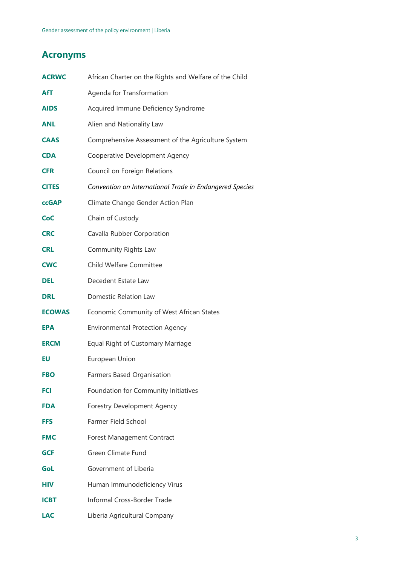# <span id="page-2-0"></span>**Acronyms**

| <b>ACRWC</b>  | African Charter on the Rights and Welfare of the Child  |
|---------------|---------------------------------------------------------|
| AfT           | Agenda for Transformation                               |
| <b>AIDS</b>   | Acquired Immune Deficiency Syndrome                     |
| <b>ANL</b>    | Alien and Nationality Law                               |
| <b>CAAS</b>   | Comprehensive Assessment of the Agriculture System      |
| <b>CDA</b>    | Cooperative Development Agency                          |
| <b>CFR</b>    | Council on Foreign Relations                            |
| <b>CITES</b>  | Convention on International Trade in Endangered Species |
| <b>ccGAP</b>  | Climate Change Gender Action Plan                       |
| CoC           | Chain of Custody                                        |
| <b>CRC</b>    | Cavalla Rubber Corporation                              |
| <b>CRL</b>    | Community Rights Law                                    |
| <b>CWC</b>    | Child Welfare Committee                                 |
| <b>DEL</b>    | Decedent Estate Law                                     |
| <b>DRL</b>    | Domestic Relation Law                                   |
| <b>ECOWAS</b> | Economic Community of West African States               |
| <b>EPA</b>    | <b>Environmental Protection Agency</b>                  |
| <b>ERCM</b>   | Equal Right of Customary Marriage                       |
| EU            | European Union                                          |
| <b>FBO</b>    | Farmers Based Organisation                              |
| <b>FCI</b>    | Foundation for Community Initiatives                    |
| <b>FDA</b>    | <b>Forestry Development Agency</b>                      |
| <b>FFS</b>    | Farmer Field School                                     |
| <b>FMC</b>    | Forest Management Contract                              |
| <b>GCF</b>    | Green Climate Fund                                      |
| GoL           | Government of Liberia                                   |
| <b>HIV</b>    | Human Immunodeficiency Virus                            |
| ICBT          | Informal Cross-Border Trade                             |
| <b>LAC</b>    | Liberia Agricultural Company                            |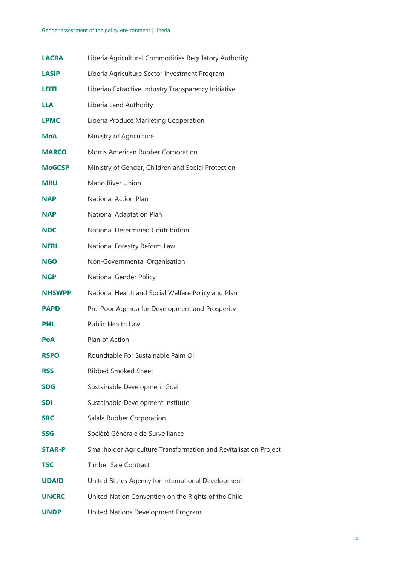#### Gender assessment of the policy environment | Liberia

| <b>LACRA</b>  | Liberia Agricultural Commodities Regulatory Authority             |
|---------------|-------------------------------------------------------------------|
| <b>LASIP</b>  | Liberia Agriculture Sector Investment Program                     |
| LEITH         | Liberian Extractive Industry Transparency Initiative              |
| <b>LLA</b>    | Liberia Land Authority                                            |
| <b>LPMC</b>   | Liberia Produce Marketing Cooperation                             |
| <b>MoA</b>    | Ministry of Agriculture                                           |
| <b>MARCO</b>  | Morris American Rubber Corporation                                |
| <b>MoGCSP</b> | Ministry of Gender, Children and Social Protection                |
| <b>MRU</b>    | Mano River Union                                                  |
| <b>NAP</b>    | National Action Plan                                              |
| <b>NAP</b>    | National Adaptation Plan                                          |
| <b>NDC</b>    | National Determined Contribution                                  |
| <b>NFRL</b>   | National Forestry Reform Law                                      |
| <b>NGO</b>    | Non-Governmental Organisation                                     |
| <b>NGP</b>    | National Gender Policy                                            |
| <b>NHSWPP</b> | National Health and Social Welfare Policy and Plan                |
| <b>PAPD</b>   | Pro-Poor Agenda for Development and Prosperity                    |
| <b>PHL</b>    | Public Health Law                                                 |
| <b>PoA</b>    | Plan of Action                                                    |
| <b>RSPO</b>   | Roundtable For Sustainable Palm Oil                               |
| <b>RSS</b>    | <b>Ribbed Smoked Sheet</b>                                        |
| <b>SDG</b>    | Sustainable Development Goal                                      |
| <b>SDI</b>    | Sustainable Development Institute                                 |
| <b>SRC</b>    | Salala Rubber Corporation                                         |
| <b>SSG</b>    | Société Générale de Surveillance                                  |
| <b>STAR-P</b> | Smallholder Agriculture Transformation and Revitalisation Project |
| <b>TSC</b>    | <b>Timber Sale Contract</b>                                       |
| <b>UDAID</b>  | United States Agency for International Development                |
| <b>UNCRC</b>  | United Nation Convention on the Rights of the Child               |
| <b>UNDP</b>   | United Nations Development Program                                |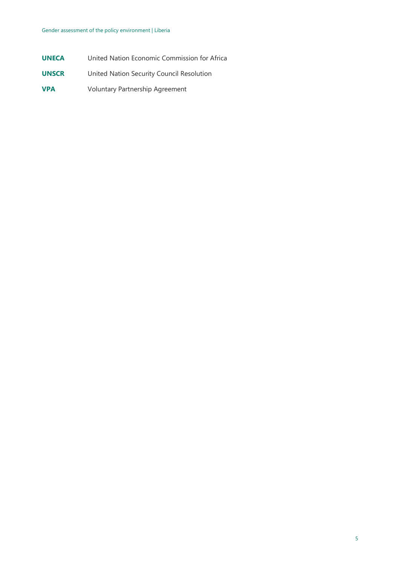- **UNECA** United Nation Economic Commission for Africa
- **UNSCR** United Nation Security Council Resolution
- **VPA** Voluntary Partnership Agreement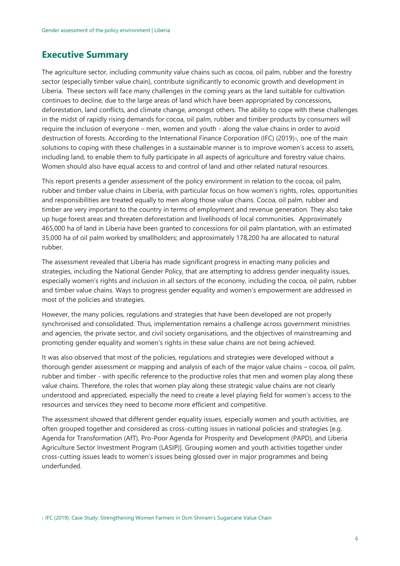## <span id="page-5-0"></span>**Executive Summary**

The agriculture sector, including community value chains such as cocoa, oil palm, rubber and the forestry sector (especially timber value chain), contribute significantly to economic growth and development in Liberia. These sectors will face many challenges in the coming years as the land suitable for cultivation continues to decline, due to the large areas of land which have been appropriated by concessions, deforestation, land conflicts, and climate change, amongst others. The ability to cope with these challenges in the midst of rapidly rising demands for cocoa, oil palm, rubber and timber products by consumers will require the inclusion of everyone – men, women and youth - along the value chains in order to avoid destruction of forests. According to the International Finance Corporation (IFC) (2019)<sub>1</sub>, one of the main solutions to coping with these challenges in a sustainable manner is to improve women's access to assets, including land, to enable them to fully participate in all aspects of agriculture and forestry value chains. Women should also have equal access to and control of land and other related natural resources.

This report presents a gender assessment of the policy environment in relation to the cocoa, oil palm, rubber and timber value chains in Liberia, with particular focus on how women's rights, roles, opportunities and responsibilities are treated equally to men along those value chains. Cocoa, oil palm, rubber and timber are very important to the country in terms of employment and revenue generation. They also take up huge forest areas and threaten deforestation and livelihoods of local communities. Approximately 465,000 ha of land in Liberia have been granted to concessions for oil palm plantation, with an estimated 35,000 ha of oil palm worked by smallholders; and approximately 178,200 ha are allocated to natural rubber.

The assessment revealed that Liberia has made significant progress in enacting many policies and strategies, including the National Gender Policy, that are attempting to address gender inequality issues, especially women's rights and inclusion in all sectors of the economy, including the cocoa, oil palm, rubber and timber value chains. Ways to progress gender equality and women's empowerment are addressed in most of the policies and strategies.

However, the many policies, regulations and strategies that have been developed are not properly synchronised and consolidated. Thus, implementation remains a challenge across government ministries and agencies, the private sector, and civil society organisations, and the objectives of mainstreaming and promoting gender equality and women's rights in these value chains are not being achieved.

It was also observed that most of the policies, regulations and strategies were developed without a thorough gender assessment or mapping and analysis of each of the major value chains – cocoa, oil palm, rubber and timber - with specific reference to the productive roles that men and women play along these value chains. Therefore, the roles that women play along these strategic value chains are not clearly understood and appreciated, especially the need to create a level playing field for women's access to the resources and services they need to become more efficient and competitive.

The assessment showed that different gender equality issues, especially women and youth activities, are often grouped together and considered as cross-cutting issues in national policies and strategies [e.g. Agenda for Transformation (AfT), Pro-Poor Agenda for Prosperity and Development (PAPD), and Liberia Agriculture Sector Investment Program (LASIP)]. Grouping women and youth activities together under cross-cutting issues leads to women's issues being glossed over in major programmes and being underfunded.

<sup>1</sup> IFC (2019). Case Study: Strengthening Women Farmers in Dcm Shriram's Sugarcane Value Chain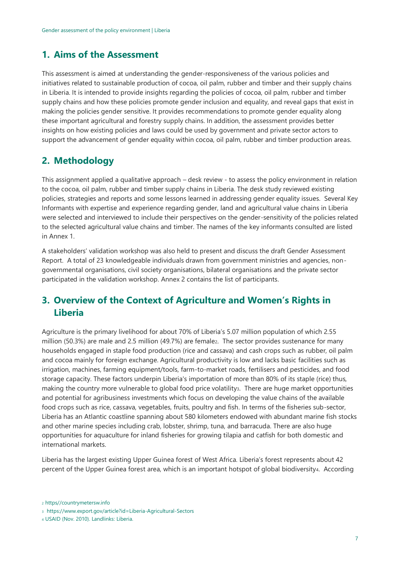## <span id="page-6-0"></span>**1. Aims of the Assessment**

This assessment is aimed at understanding the gender-responsiveness of the various policies and initiatives related to sustainable production of cocoa, oil palm, rubber and timber and their supply chains in Liberia. It is intended to provide insights regarding the policies of cocoa, oil palm, rubber and timber supply chains and how these policies promote gender inclusion and equality, and reveal gaps that exist in making the policies gender sensitive. It provides recommendations to promote gender equality along these important agricultural and forestry supply chains. In addition, the assessment provides better insights on how existing policies and laws could be used by government and private sector actors to support the advancement of gender equality within cocoa, oil palm, rubber and timber production areas.

# <span id="page-6-1"></span>**2. Methodology**

This assignment applied a qualitative approach – desk review - to assess the policy environment in relation to the cocoa, oil palm, rubber and timber supply chains in Liberia. The desk study reviewed existing policies, strategies and reports and some lessons learned in addressing gender equality issues. Several Key Informants with expertise and experience regarding gender, land and agricultural value chains in Liberia were selected and interviewed to include their perspectives on the gender-sensitivity of the policies related to the selected agricultural value chains and timber. The names of the key informants consulted are listed in Annex 1.

A stakeholders' validation workshop was also held to present and discuss the draft Gender Assessment Report. A total of 23 knowledgeable individuals drawn from government ministries and agencies, nongovernmental organisations, civil society organisations, bilateral organisations and the private sector participated in the validation workshop. Annex 2 contains the list of participants.

# <span id="page-6-2"></span>**3. Overview of the Context of Agriculture and Women's Rights in Liberia**

Agriculture is the primary livelihood for about 70% of Liberia's 5.07 million population of which 2.55 million (50.3%) are male and 2.5 million (49.7%) are femalez. The sector provides sustenance for many households engaged in staple food production (rice and cassava) and cash crops such as rubber, oil palm and cocoa mainly for foreign exchange. Agricultural productivity is low and lacks basic facilities such as irrigation, machines, farming equipment/tools, farm-to-market roads, fertilisers and pesticides, and food storage capacity. These factors underpin Liberia's importation of more than 80% of its staple (rice) thus, making the country more vulnerable to global food price volatility<sub>3</sub>. There are huge market opportunities and potential for agribusiness investments which focus on developing the value chains of the available food crops such as rice, cassava, vegetables, fruits, poultry and fish. In terms of the fisheries sub-sector, Liberia has an Atlantic coastline spanning about 580 kilometers endowed with abundant marine fish stocks and other marine species including crab, lobster, shrimp, tuna, and barracuda. There are also huge opportunities for aquaculture for inland fisheries for growing tilapia and catfish for both domestic and international markets.

Liberia has the largest existing Upper Guinea forest of West Africa. Liberia's forest represents about 42 percent of the Upper Guinea forest area, which is an important hotspot of global biodiversity4. According

<sup>2</sup> https//countrymetersw.info

<sup>3</sup> https://www.export.gov/article?id=Liberia-Agricultural-Sectors

<sup>4</sup> USAID (Nov. 2010). Landlinks: Liberia.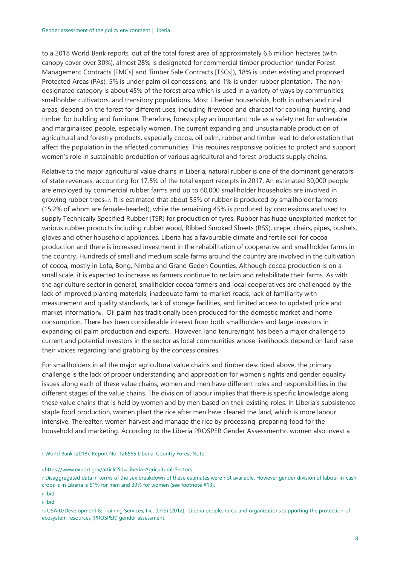to a 2018 World Bank reports, out of the total forest area of approximately 6.6 million hectares (with canopy cover over 30%), almost 28% is designated for commercial timber production (under Forest Management Contracts [FMCs] and Timber Sale Contracts [TSCs]), 18% is under existing and proposed Protected Areas (PAs), 5% is under palm oil concessions, and 1% is under rubber plantation. The nondesignated category is about 45% of the forest area which is used in a variety of ways by communities, smallholder cultivators, and transitory populations. Most Liberian households, both in urban and rural areas, depend on the forest for different uses, including firewood and charcoal for cooking, hunting, and timber for building and furniture. Therefore, forests play an important role as a safety net for vulnerable and marginalised people, especially women. The current expanding and unsustainable production of agricultural and forestry products, especially cocoa, oil palm, rubber and timber lead to deforestation that affect the population in the affected communities. This requires responsive policies to protect and support women's role in sustainable production of various agricultural and forest products supply chains.

Relative to the major agricultural value chains in Liberia, natural rubber is one of the dominant generators of state revenues, accounting for 17.5% of the total export receipts in 2017. An estimated 30,000 people are employed by commercial rubber farms and up to 60,000 smallholder households are involved in growing rubber trees6,7. It is estimated that about 55% of rubber is produced by smallholder farmers (15.2% of whom are female-headed), while the remaining 45% is produced by concessions and used to supply Technically Specified Rubber (TSR) for production of tyres. Rubber has huge unexploited market for various rubber products including rubber wood, Ribbed Smoked Sheets (RSS), crepe, chairs, pipes, bushels, gloves and other household appliances. Liberia has a favourable climate and fertile soil for cocoa production and there is increased investment in the rehabilitation of cooperative and smallholder farms in the country. Hundreds of small and medium scale farms around the country are involved in the cultivation of cocoa, mostly in Lofa, Bong, Nimba and Grand Gedeh Counties. Although cocoa production is on a small scale, it is expected to increase as farmers continue to reclaim and rehabilitate their farms. As with the agriculture sector in general, smallholder cocoa farmers and local cooperatives are challenged by the lack of improved planting materials, inadequate farm-to-market roads, lack of familiarity with measurement and quality standards, lack of storage facilities, and limited access to updated price and market information8. Oil palm has traditionally been produced for the domestic market and home consumption. There has been considerable interest from both smallholders and large investors in expanding oil palm production and exports. However, land tenure/right has been a major challenge to current and potential investors in the sector as local communities whose livelihoods depend on land raise their voices regarding land grabbing by the concessionaires.

For smallholders in all the major agricultural value chains and timber described above, the primary challenge is the lack of proper understanding and appreciation for women's rights and gender equality issues along each of these value chains; women and men have different roles and responsibilities in the different stages of the value chains. The division of labour implies that there is specific knowledge along these value chains that is held by women and by men based on their existing roles. In Liberia's subsistence staple food production, women plant the rice after men have cleared the land, which is more labour intensive. Thereafter, women harvest and manage the rice by processing, preparing food for the household and marketing. According to the Liberia PROSPER Gender Assessment10, women also invest a

<sup>5</sup> World Bank (2018). Report No: 126565 Liberia: Country Forest Note.

<sup>6</sup> https://www.export.gov/article?id=Liberia-Agricultural-Sectors

<sup>7</sup> Disaggregated data in terms of the sex breakdown of these estimates were not available. However gender division of labour in cash crops is in Liberia is 61% for men and 39% for women (see footnote #13).

<sup>8</sup> Ibid

<sup>9</sup> Ibid

<sup>10</sup> USAID/Development & Training Services, Inc. (DTS) (2012). Liberia people, rules, and organizations supporting the protection of ecosystem resources (PROSPER) gender assessment.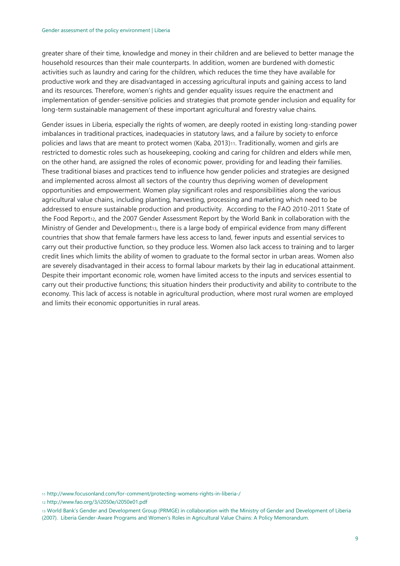greater share of their time, knowledge and money in their children and are believed to better manage the household resources than their male counterparts. In addition, women are burdened with domestic activities such as laundry and caring for the children, which reduces the time they have available for productive work and they are disadvantaged in accessing agricultural inputs and gaining access to land and its resources. Therefore, women's rights and gender equality issues require the enactment and implementation of gender-sensitive policies and strategies that promote gender inclusion and equality for long-term sustainable management of these important agricultural and forestry value chains.

Gender issues in Liberia, especially the rights of women, are deeply rooted in existing long-standing power imbalances in traditional practices, inadequacies in statutory laws, and a failure by society to enforce policies and laws that are meant to protect women (Kaba, 2013)11. Traditionally, women and girls are restricted to domestic roles such as housekeeping, cooking and caring for children and elders while men, on the other hand, are assigned the roles of economic power, providing for and leading their families. These traditional biases and practices tend to influence how gender policies and strategies are designed and implemented across almost all sectors of the country thus depriving women of development opportunities and empowerment. Women play significant roles and responsibilities along the various agricultural value chains, including planting, harvesting, processing and marketing which need to be addressed to ensure sustainable production and productivity. According to the FAO 2010-2011 State of the Food Report<sub>12</sub>, and the 2007 Gender Assessment Report by the World Bank in collaboration with the Ministry of Gender and Development13, there is a large body of empirical evidence from many different countries that show that female farmers have less access to land, fewer inputs and essential services to carry out their productive function, so they produce less. Women also lack access to training and to larger credit lines which limits the ability of women to graduate to the formal sector in urban areas. Women also are severely disadvantaged in their access to formal labour markets by their lag in educational attainment. Despite their important economic role, women have limited access to the inputs and services essential to carry out their productive functions; this situation hinders their productivity and ability to contribute to the economy. This lack of access is notable in agricultural production, where most rural women are employed and limits their economic opportunities in rural areas.

<sup>11</sup> http://www.focusonland.com/for-comment/protecting-womens-rights-in-liberia-/

<sup>12</sup> http://www.fao.org/3/i2050e/i2050e01.pdf

<sup>13</sup> World Bank's Gender and Development Group (PRMGE) in collaboration with the Ministry of Gender and Development of Liberia (2007). Liberia Gender-Aware Programs and Women's Roles in Agricultural Value Chains: A Policy Memorandum.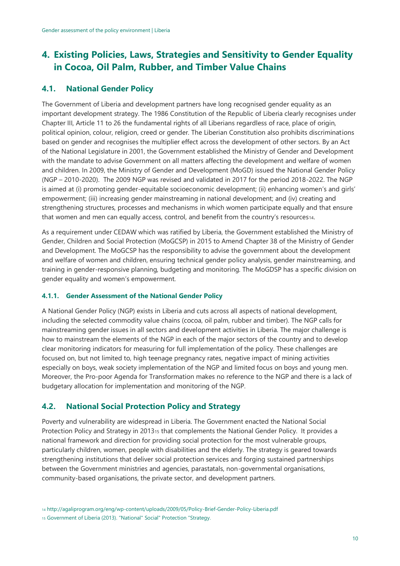# <span id="page-9-0"></span>**4. Existing Policies, Laws, Strategies and Sensitivity to Gender Equality in Cocoa, Oil Palm, Rubber, and Timber Value Chains**

### <span id="page-9-1"></span>**4.1. National Gender Policy**

The Government of Liberia and development partners have long recognised gender equality as an important development strategy. The 1986 Constitution of the Republic of Liberia clearly recognises under Chapter III, Article 11 to 26 the fundamental rights of all Liberians regardless of race, place of origin, political opinion, colour, religion, creed or gender. The Liberian Constitution also prohibits discriminations based on gender and recognises the multiplier effect across the development of other sectors. By an Act of the National Legislature in 2001, the Government established the Ministry of Gender and Development with the mandate to advise Government on all matters affecting the development and welfare of women and children. In 2009, the Ministry of Gender and Development (MoGD) issued the National Gender Policy (NGP – 2010-2020). The 2009 NGP was revised and validated in 2017 for the period 2018-2022. The NGP is aimed at (i) promoting gender-equitable socioeconomic development; (ii) enhancing women's and girls' empowerment; (iii) increasing gender mainstreaming in national development; and (iv) creating and strengthening structures, processes and mechanisms in which women participate equally and that ensure that women and men can equally access, control, and benefit from the country's resources14.

As a requirement under CEDAW which was ratified by Liberia, the Government established the Ministry of Gender, Children and Social Protection (MoGCSP) in 2015 to Amend Chapter 38 of the Ministry of Gender and Development. The MoGCSP has the responsibility to advise the government about the development and welfare of women and children, ensuring technical gender policy analysis, gender mainstreaming, and training in gender-responsive planning, budgeting and monitoring. The MoGDSP has a specific division on gender equality and women's empowerment.

#### <span id="page-9-2"></span>**4.1.1. Gender Assessment of the National Gender Policy**

A National Gender Policy (NGP) exists in Liberia and cuts across all aspects of national development, including the selected commodity value chains (cocoa, oil palm, rubber and timber). The NGP calls for mainstreaming gender issues in all sectors and development activities in Liberia. The major challenge is how to mainstream the elements of the NGP in each of the major sectors of the country and to develop clear monitoring indicators for measuring for full implementation of the policy. These challenges are focused on, but not limited to, high teenage pregnancy rates, negative impact of mining activities especially on boys, weak society implementation of the NGP and limited focus on boys and young men. Moreover, the Pro-poor Agenda for Transformation makes no reference to the NGP and there is a lack of budgetary allocation for implementation and monitoring of the NGP.

### <span id="page-9-3"></span>**4.2. National Social Protection Policy and Strategy**

Poverty and vulnerability are widespread in Liberia. The Government enacted the National Social Protection Policy and Strategy in 2013<sup>15</sup> that complements the National Gender Policy. It provides a national framework and direction for providing social protection for the most vulnerable groups, particularly children, women, people with disabilities and the elderly. The strategy is geared towards strengthening institutions that deliver social protection services and forging sustained partnerships between the Government ministries and agencies, parastatals, non-governmental organisations, community-based organisations, the private sector, and development partners.

<sup>14</sup> http://agaliprogram.org/eng/wp-content/uploads/2009/05/Policy-Brief-Gender-Policy-Liberia.pdf

<sup>15</sup> Government of Liberia (2013). "National" Social" Protection "Strategy.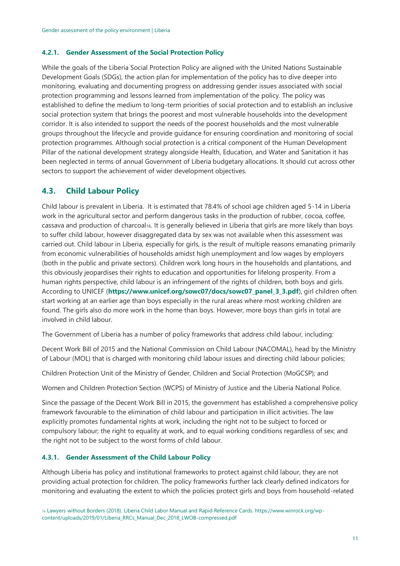#### <span id="page-10-0"></span>**4.2.1. Gender Assessment of the Social Protection Policy**

While the goals of the Liberia Social Protection Policy are aligned with the United Nations Sustainable Development Goals (SDGs), the action plan for implementation of the policy has to dive deeper into monitoring, evaluating and documenting progress on addressing gender issues associated with social protection programming and lessons learned from implementation of the policy. The policy was established to define the medium to long-term priorities of social protection and to establish an inclusive social protection system that brings the poorest and most vulnerable households into the development corridor. It is also intended to support the needs of the poorest households and the most vulnerable groups throughout the lifecycle and provide guidance for ensuring coordination and monitoring of social protection programmes. Although social protection is a critical component of the Human Development Pillar of the national development strategy alongside Health, Education, and Water and Sanitation it has been neglected in terms of annual Government of Liberia budgetary allocations. It should cut across other sectors to support the achievement of wider development objectives.

### <span id="page-10-1"></span>**4.3. Child Labour Policy**

Child labour is prevalent in Liberia. It is estimated that 78.4% of school age children aged 5-14 in Liberia work in the agricultural sector and perform dangerous tasks in the production of rubber, cocoa, coffee, cassava and production of charcoal16. It is generally believed in Liberia that girls are more likely than boys to suffer child labour, however disaggregated data by sex was not available when this assessment was carried out. Child labour in Liberia, especially for girls, is the result of multiple reasons emanating primarily from economic vulnerabilities of households amidst high unemployment and low wages by employers (both in the public and private sectors). Children work long hours in the households and plantations, and this obviously jeopardises their rights to education and opportunities for lifelong prosperity. From a human rights perspective, child labour is an infringement of the rights of children, both boys and girls. According to UNICEF (**https://www.unicef.org/sowc07/docs/sowc07\_panel\_3\_3.pdf**), girl children often start working at an earlier age than boys especially in the rural areas where most working children are found. The girls also do more work in the home than boys. However, more boys than girls in total are involved in child labour.

The Government of Liberia has a number of policy frameworks that address child labour, including:

Decent Work Bill of 2015 and the National Commission on Child Labour (NACOMAL), head by the Ministry of Labour (MOL) that is charged with monitoring child labour issues and directing child labour policies;

Children Protection Unit of the Ministry of Gender, Children and Social Protection (MoGCSP); and

Women and Children Protection Section (WCPS) of Ministry of Justice and the Liberia National Police.

Since the passage of the Decent Work Bill in 2015, the government has established a comprehensive policy framework favourable to the elimination of child labour and participation in illicit activities. The law explicitly promotes fundamental rights at work, including the right not to be subject to forced or compulsory labour; the right to equality at work, and to equal working conditions regardless of sex; and the right not to be subject to the worst forms of child labour.

### <span id="page-10-2"></span>**4.3.1. Gender Assessment of the Child Labour Policy**

Although Liberia has policy and institutional frameworks to protect against child labour, they are not providing actual protection for children. The policy frameworks further lack clearly defined indicators for monitoring and evaluating the extent to which the policies protect girls and boys from household-related

<sup>16</sup> Lawyers without Borders (2018). Liberia Child Labor Manual and Rapid Reference Cards. https://www.winrock.org/wpcontent/uploads/2019/01/Liberia\_RRCs\_Manual\_Dec\_2018\_LWOB-compressed.pdf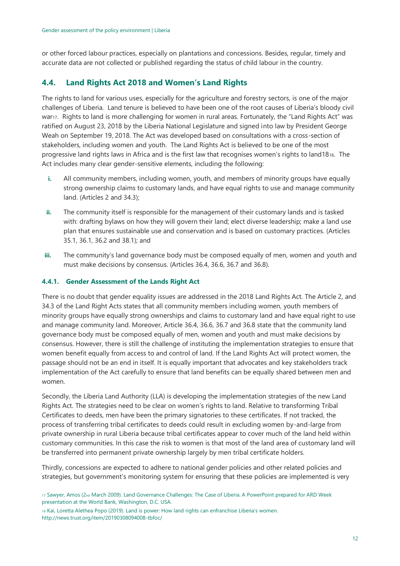or other forced labour practices, especially on plantations and concessions. Besides, regular, timely and accurate data are not collected or published regarding the status of child labour in the country.

### <span id="page-11-0"></span>**4.4. Land Rights Act 2018 and Women's Land Rights**

The rights to land for various uses, especially for the agriculture and forestry sectors, is one of the major challenges of Liberia. Land tenure is believed to have been one of the root causes of Liberia's bloody civil war17. Rights to land is more challenging for women in rural areas. Fortunately, the "Land Rights Act" was ratified on August 23, 2018 by the Liberia National Legislature and signed into law by President George Weah on September 19, 2018. The Act was developed based on consultations with a cross-section of stakeholders, including women and youth. The Land Rights Act is believed to be one of the most progressive land rights laws in Africa and is the first law that recognises women's rights to land1818. The Act includes many clear gender-sensitive elements, including the following:

- **i.** All community members, including women, youth, and members of minority groups have equally strong ownership claims to customary lands, and have equal rights to use and manage community land. (Articles 2 and 34.3);
- **ii.** The community itself is responsible for the management of their customary lands and is tasked with: drafting bylaws on how they will govern their land; elect diverse leadership; make a land use plan that ensures sustainable use and conservation and is based on customary practices. (Articles 35.1, 36.1, 36.2 and 38.1); and
- **iii.** The community's land governance body must be composed equally of men, women and youth and must make decisions by consensus. (Articles 36.4, 36.6, 36.7 and 36.8).

#### <span id="page-11-1"></span>**4.4.1. Gender Assessment of the Lands Right Act**

There is no doubt that gender equality issues are addressed in the 2018 Land Rights Act. The Article 2, and 34.3 of the Land Right Acts states that all community members including women, youth members of minority groups have equally strong ownerships and claims to customary land and have equal right to use and manage community land. Moreover, Article 36.4, 36.6, 36.7 and 36.8 state that the community land governance body must be composed equally of men, women and youth and must make decisions by consensus. However, there is still the challenge of instituting the implementation strategies to ensure that women benefit equally from access to and control of land. If the Land Rights Act will protect women, the passage should not be an end in itself. It is equally important that advocates and key stakeholders track implementation of the Act carefully to ensure that land benefits can be equally shared between men and women.

Secondly, the Liberia Land Authority (LLA) is developing the implementation strategies of the new Land Rights Act. The strategies need to be clear on women's rights to land. Relative to transforming Tribal Certificates to deeds, men have been the primary signatories to these certificates. If not tracked, the process of transferring tribal certificates to deeds could result in excluding women by-and-large from private ownership in rural Liberia because tribal certificates appear to cover much of the land held within customary communities. In this case the risk to women is that most of the land area of customary land will be transferred into permanent private ownership largely by men tribal certificate holders.

Thirdly, concessions are expected to adhere to national gender policies and other related policies and strategies, but government's monitoring system for ensuring that these policies are implemented is very

<sup>18</sup> Kai, Loretta Alethea Popo (2019). Land is power: How land rights can enfranchise Liberia's women. http://news.trust.org/item/20190308094008-tbfoc/

<sup>17</sup> Sawyer, Amos (2nd March 2009). Land Governance Challenges: The Case of Liberia. A PowerPoint prepared for ARD Week presentation at the World Bank, Washington, D.C. USA.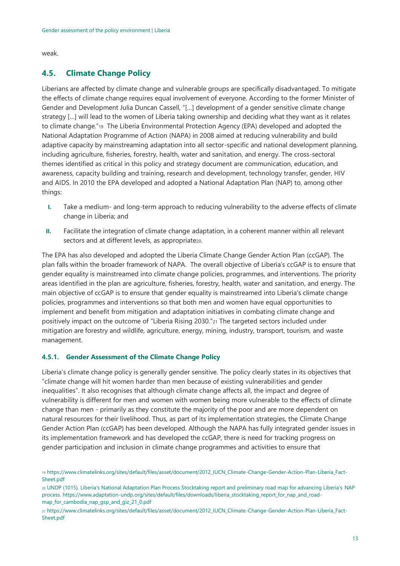weak.

### <span id="page-12-0"></span>**4.5. Climate Change Policy**

Liberians are affected by climate change and vulnerable groups are specifically disadvantaged. To mitigate the effects of climate change requires equal involvement of everyone. According to the former Minister of Gender and Development Julia Duncan Cassell, "[…] development of a gender sensitive climate change strategy […] will lead to the women of Liberia taking ownership and deciding what they want as it relates to climate change."19 The Liberia Environmental Protection Agency (EPA) developed and adopted the National Adaptation Programme of Action (NAPA) in 2008 aimed at reducing vulnerability and build adaptive capacity by mainstreaming adaptation into all sector-specific and national development planning, including agriculture, fisheries, forestry, health, water and sanitation, and energy. The cross-sectoral themes identified as critical in this policy and strategy document are communication, education, and awareness, capacity building and training, research and development, technology transfer, gender, HIV and AIDS. In 2010 the EPA developed and adopted a National Adaptation Plan (NAP) to, among other things:

- **I.** Take a medium- and long-term approach to reducing vulnerability to the adverse effects of climate change in Liberia; and
- **II.** Facilitate the integration of climate change adaptation, in a coherent manner within all relevant sectors and at different levels, as appropriate<sub>20</sub>.

The EPA has also developed and adopted the Liberia Climate Change Gender Action Plan (ccGAP). The plan falls within the broader framework of NAPA. The overall objective of Liberia's ccGAP is to ensure that gender equality is mainstreamed into climate change policies, programmes, and interventions. The priority areas identified in the plan are agriculture, fisheries, forestry, health, water and sanitation, and energy. The main objective of ccGAP is to ensure that gender equality is mainstreamed into Liberia's climate change policies, programmes and interventions so that both men and women have equal opportunities to implement and benefit from mitigation and adaptation initiatives in combating climate change and positively impact on the outcome of "Liberia Rising 2030."<sup>21</sup> The targeted sectors included under mitigation are forestry and wildlife, agriculture, energy, mining, industry, transport, tourism, and waste management.

#### <span id="page-12-1"></span>**4.5.1. Gender Assessment of the Climate Change Policy**

Liberia's climate change policy is generally gender sensitive. The policy clearly states in its objectives that "climate change will hit women harder than men because of existing vulnerabilities and gender inequalities". It also recognises that although climate change affects all, the impact and degree of vulnerability is different for men and women with women being more vulnerable to the effects of climate change than men - primarily as they constitute the majority of the poor and are more dependent on natural resources for their livelihood. Thus, as part of its implementation strategies, the Climate Change Gender Action Plan (ccGAP) has been developed. Although the NAPA has fully integrated gender issues in its implementation framework and has developed the ccGAP, there is need for tracking progress on gender participation and inclusion in climate change programmes and activities to ensure that

<sup>21</sup> https://www.climatelinks.org/sites/default/files/asset/document/2012\_IUCN\_Climate-Change-Gender-Action-Plan-Liberia\_Fact-Sheet.pdf

<sup>19</sup> https://www.climatelinks.org/sites/default/files/asset/document/2012\_IUCN\_Climate-Change-Gender-Action-Plan-Liberia\_Fact-Sheet.pdf

<sup>20</sup> UNDP (1015). Liberia's National Adaptation Plan Process Stocktaking report and preliminary road map for advancing Liberia's NAP process. https://www.adaptation-undp.org/sites/default/files/downloads/liberia\_stocktaking\_report\_for\_nap\_and\_roadmap\_for\_cambodia\_nap\_gsp\_and\_giz\_21\_0.pdf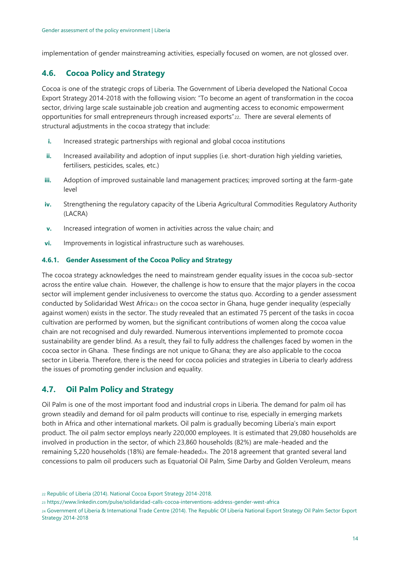implementation of gender mainstreaming activities, especially focused on women, are not glossed over.

### <span id="page-13-0"></span>**4.6. Cocoa Policy and Strategy**

Cocoa is one of the strategic crops of Liberia. The Government of Liberia developed the National Cocoa Export Strategy 2014-2018 with the following vision: "To become an agent of transformation in the cocoa sector, driving large scale sustainable job creation and augmenting access to economic empowerment opportunities for small entrepreneurs through increased exports"22. There are several elements of structural adjustments in the cocoa strategy that include:

- **i.** Increased strategic partnerships with regional and global cocoa institutions
- **ii.** Increased availability and adoption of input supplies (i.e. short-duration high yielding varieties, fertilisers, pesticides, scales, etc.)
- **iii.** Adoption of improved sustainable land management practices; improved sorting at the farm-gate level
- **iv.** Strengthening the regulatory capacity of the Liberia Agricultural Commodities Regulatory Authority (LACRA)
- **v.** Increased integration of women in activities across the value chain; and
- **vi.** Improvements in logistical infrastructure such as warehouses.

#### <span id="page-13-1"></span>**4.6.1. Gender Assessment of the Cocoa Policy and Strategy**

The cocoa strategy acknowledges the need to mainstream gender equality issues in the cocoa sub-sector across the entire value chain. However, the challenge is how to ensure that the major players in the cocoa sector will implement gender inclusiveness to overcome the status quo. According to a gender assessment conducted by Solidaridad West Africa<sub>23</sub> on the cocoa sector in Ghana, huge gender inequality (especially against women) exists in the sector. The study revealed that an estimated 75 percent of the tasks in cocoa cultivation are performed by women, but the significant contributions of women along the cocoa value chain are not recognised and duly rewarded. Numerous interventions implemented to promote cocoa sustainability are gender blind. As a result, they fail to fully address the challenges faced by women in the cocoa sector in Ghana. These findings are not unique to Ghana; they are also applicable to the cocoa sector in Liberia. Therefore, there is the need for cocoa policies and strategies in Liberia to clearly address the issues of promoting gender inclusion and equality.

### <span id="page-13-2"></span>**4.7. Oil Palm Policy and Strategy**

Oil Palm is one of the most important food and industrial crops in Liberia. The demand for palm oil has grown steadily and demand for oil palm products will continue to rise, especially in emerging markets both in Africa and other international markets. Oil palm is gradually becoming Liberia's main export product. The oil palm sector employs nearly 220,000 employees. It is estimated that 29,080 households are involved in production in the sector, of which 23,860 households (82%) are male-headed and the remaining 5,220 households (18%) are female-headed24. The 2018 agreement that granted several land concessions to palm oil producers such as Equatorial Oil Palm, Sime Darby and Golden Veroleum, means

<sup>22</sup> Republic of Liberia (2014). National Cocoa Export Strategy 2014-2018.

<sup>23</sup> https://www.linkedin.com/pulse/solidaridad-calls-cocoa-interventions-address-gender-west-africa

<sup>24</sup> Government of Liberia & International Trade Centre (2014). The Republic Of Liberia National Export Strategy Oil Palm Sector Export Strategy 2014-2018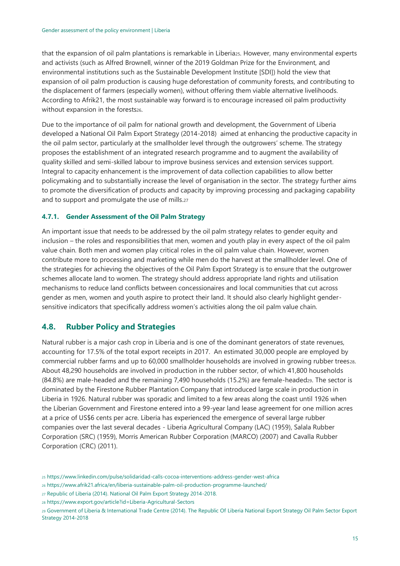that the expansion of oil palm plantations is remarkable in Liberia25. However, many environmental experts and activists (such as Alfred Brownell, winner of the 2019 Goldman Prize for the Environment, and environmental institutions such as the Sustainable Development Institute [SDI]) hold the view that expansion of oil palm production is causing huge deforestation of community forests, and contributing to the displacement of farmers (especially women), without offering them viable alternative livelihoods. According to Afrik21, the most sustainable way forward is to encourage increased oil palm productivity without expansion in the forests26.

Due to the importance of oil palm for national growth and development, the Government of Liberia developed a National Oil Palm Export Strategy (2014-2018) aimed at enhancing the productive capacity in the oil palm sector, particularly at the smallholder level through the outgrowers' scheme. The strategy proposes the establishment of an integrated research programme and to augment the availability of quality skilled and semi-skilled labour to improve business services and extension services support. Integral to capacity enhancement is the improvement of data collection capabilities to allow better policymaking and to substantially increase the level of organisation in the sector. The strategy further aims to promote the diversification of products and capacity by improving processing and packaging capability and to support and promulgate the use of mills.<sup>27</sup>

#### <span id="page-14-0"></span>**4.7.1. Gender Assessment of the Oil Palm Strategy**

An important issue that needs to be addressed by the oil palm strategy relates to gender equity and inclusion – the roles and responsibilities that men, women and youth play in every aspect of the oil palm value chain. Both men and women play critical roles in the oil palm value chain. However, women contribute more to processing and marketing while men do the harvest at the smallholder level. One of the strategies for achieving the objectives of the Oil Palm Export Strategy is to ensure that the outgrower schemes allocate land to women. The strategy should address appropriate land rights and utilisation mechanisms to reduce land conflicts between concessionaires and local communities that cut across gender as men, women and youth aspire to protect their land. It should also clearly highlight gendersensitive indicators that specifically address women's activities along the oil palm value chain.

### <span id="page-14-1"></span>**4.8. Rubber Policy and Strategies**

Natural rubber is a major cash crop in Liberia and is one of the dominant generators of state revenues, accounting for 17.5% of the total export receipts in 2017. An estimated 30,000 people are employed by commercial rubber farms and up to 60,000 smallholder households are involved in growing rubber trees28. About 48,290 households are involved in production in the rubber sector, of which 41,800 households  $(84.8\%)$  are male-headed and the remaining 7,490 households  $(15.2\%)$  are female-headed $_{29}$ . The sector is dominated by the Firestone Rubber Plantation Company that introduced large scale in production in Liberia in 1926. Natural rubber was sporadic and limited to a few areas along the coast until 1926 when the Liberian Government and Firestone entered into a 99-year land lease agreement for one million acres at a price of US\$6 cents per acre. Liberia has experienced the emergence of several large rubber companies over the last several decades - Liberia Agricultural Company (LAC) (1959), Salala Rubber Corporation (SRC) (1959), Morris American Rubber Corporation (MARCO) (2007) and Cavalla Rubber Corporation (CRC) (2011).

<sup>28</sup> https://www.export.gov/article?id=Liberia-Agricultural-Sectors

<sup>25</sup> https://www.linkedin.com/pulse/solidaridad-calls-cocoa-interventions-address-gender-west-africa

<sup>26</sup> https://www.afrik21.africa/en/liberia-sustainable-palm-oil-production-programme-launched/

<sup>27</sup> Republic of Liberia (2014). National Oil Palm Export Strategy 2014-2018.

<sup>29</sup> Government of Liberia & International Trade Centre (2014). The Republic Of Liberia National Export Strategy Oil Palm Sector Export Strategy 2014-2018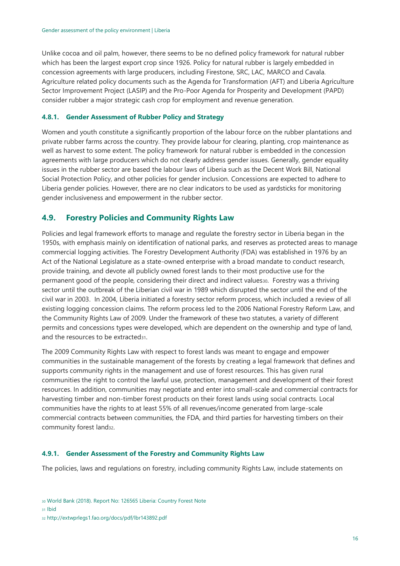Unlike cocoa and oil palm, however, there seems to be no defined policy framework for natural rubber which has been the largest export crop since 1926. Policy for natural rubber is largely embedded in concession agreements with large producers, including Firestone, SRC, LAC, MARCO and Cavala. Agriculture related policy documents such as the Agenda for Transformation (AFT) and Liberia Agriculture Sector Improvement Project (LASIP) and the Pro-Poor Agenda for Prosperity and Development (PAPD) consider rubber a major strategic cash crop for employment and revenue generation.

#### <span id="page-15-0"></span>**4.8.1. Gender Assessment of Rubber Policy and Strategy**

Women and youth constitute a significantly proportion of the labour force on the rubber plantations and private rubber farms across the country. They provide labour for clearing, planting, crop maintenance as well as harvest to some extent. The policy framework for natural rubber is embedded in the concession agreements with large producers which do not clearly address gender issues. Generally, gender equality issues in the rubber sector are based the labour laws of Liberia such as the Decent Work Bill, National Social Protection Policy, and other policies for gender inclusion. Concessions are expected to adhere to Liberia gender policies. However, there are no clear indicators to be used as yardsticks for monitoring gender inclusiveness and empowerment in the rubber sector.

### <span id="page-15-1"></span>**4.9. Forestry Policies and Community Rights Law**

Policies and legal framework efforts to manage and regulate the forestry sector in Liberia began in the 1950s, with emphasis mainly on identification of national parks, and reserves as protected areas to manage commercial logging activities. The Forestry Development Authority (FDA) was established in 1976 by an Act of the National Legislature as a state-owned enterprise with a broad mandate to conduct research, provide training, and devote all publicly owned forest lands to their most productive use for the permanent good of the people, considering their direct and indirect values30. Forestry was a thriving sector until the outbreak of the Liberian civil war in 1989 which disrupted the sector until the end of the civil war in 2003. In 2004, Liberia initiated a forestry sector reform process, which included a review of all existing logging concession claims. The reform process led to the 2006 National Forestry Reform Law, and the Community Rights Law of 2009. Under the framework of these two statutes, a variety of different permits and concessions types were developed, which are dependent on the ownership and type of land, and the resources to be extracted<sub>31</sub>.

The 2009 Community Rights Law with respect to forest lands was meant to engage and empower communities in the sustainable management of the forests by creating a legal framework that defines and supports community rights in the management and use of forest resources. This has given rural communities the right to control the lawful use, protection, management and development of their forest resources. In addition, communities may negotiate and enter into small-scale and commercial contracts for harvesting timber and non-timber forest products on their forest lands using social contracts. Local communities have the rights to at least 55% of all revenues/income generated from large-scale commercial contracts between communities, the FDA, and third parties for harvesting timbers on their community forest land<sub>32</sub>.

#### <span id="page-15-2"></span>**4.9.1. Gender Assessment of the Forestry and Community Rights Law**

The policies, laws and regulations on forestry, including community Rights Law, include statements on

31 Ibid

<sup>30</sup> World Bank (2018). Report No: 126565 Liberia: Country Forest Note

<sup>32</sup> http://extwprlegs1.fao.org/docs/pdf/lbr143892.pdf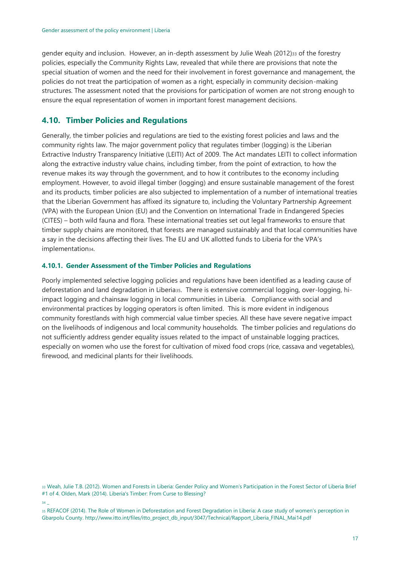gender equity and inclusion. However, an in-depth assessment by Julie Weah (2012)33 of the forestry policies, especially the Community Rights Law, revealed that while there are provisions that note the special situation of women and the need for their involvement in forest governance and management, the policies do not treat the participation of women as a right, especially in community decision-making structures. The assessment noted that the provisions for participation of women are not strong enough to ensure the equal representation of women in important forest management decisions.

### <span id="page-16-0"></span>**4.10. Timber Policies and Regulations**

Generally, the timber policies and regulations are tied to the existing forest policies and laws and the community rights law. The major government policy that regulates timber (logging) is the Liberian Extractive Industry Transparency Initiative (LEITI) Act of 2009. The Act mandates LEITI to collect information along the extractive industry value chains, including timber, from the point of extraction, to how the revenue makes its way through the government, and to how it contributes to the economy including employment. However, to avoid illegal timber (logging) and ensure sustainable management of the forest and its products, timber policies are also subjected to implementation of a number of international treaties that the Liberian Government has affixed its signature to, including the Voluntary Partnership Agreement (VPA) with the European Union (EU) and the Convention on International Trade in Endangered Species (CITES) – both wild fauna and flora. These international treaties set out legal frameworks to ensure that timber supply chains are monitored, that forests are managed sustainably and that local communities have a say in the decisions affecting their lives. The EU and UK allotted funds to Liberia for the VPA's implementation<sub>34</sub>.

#### <span id="page-16-1"></span>**4.10.1. Gender Assessment of the Timber Policies and Regulations**

Poorly implemented selective logging policies and regulations have been identified as a leading cause of deforestation and land degradation in Liberia35. There is extensive commercial logging, over-logging, hiimpact logging and chainsaw logging in local communities in Liberia. Compliance with social and environmental practices by logging operators is often limited. This is more evident in indigenous community forestlands with high commercial value timber species. All these have severe negative impact on the livelihoods of indigenous and local community households. The timber policies and regulations do not sufficiently address gender equality issues related to the impact of unstainable logging practices, especially on women who use the forest for cultivation of mixed food crops (rice, cassava and vegetables), firewood, and medicinal plants for their livelihoods.

<sup>33</sup> Weah, Julie T.B. (2012). Women and Forests in Liberia: Gender Policy and Women's Participation in the Forest Sector of Liberia Brief #1 of 4. Olden, Mark (2014). Liberia's Timber: From Curse to Blessing?

<sup>34</sup> \_

<sup>35</sup> REFACOF (2014). The Role of Women in Deforestation and Forest Degradation in Liberia: A case study of women's perception in Gbarpolu County. http://www.itto.int/files/itto\_project\_db\_input/3047/Technical/Rapport\_Liberia\_FINAL\_Mai14.pdf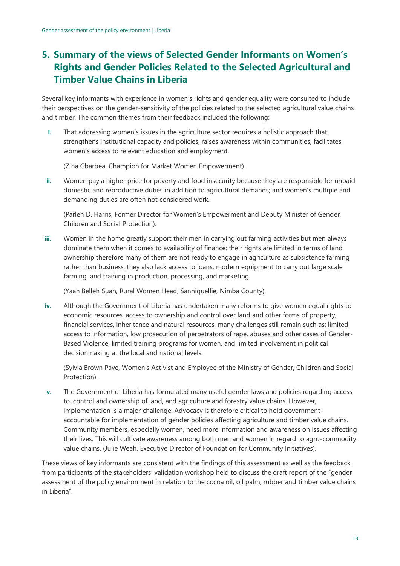# <span id="page-17-0"></span>**5. Summary of the views of Selected Gender Informants on Women's Rights and Gender Policies Related to the Selected Agricultural and Timber Value Chains in Liberia**

Several key informants with experience in women's rights and gender equality were consulted to include their perspectives on the gender-sensitivity of the policies related to the selected agricultural value chains and timber. The common themes from their feedback included the following:

**i.** That addressing women's issues in the agriculture sector requires a holistic approach that strengthens institutional capacity and policies, raises awareness within communities, facilitates women's access to relevant education and employment.

(Zina Gbarbea, Champion for Market Women Empowerment).

**ii.** Women pay a higher price for poverty and food insecurity because they are responsible for unpaid domestic and reproductive duties in addition to agricultural demands; and women's multiple and demanding duties are often not considered work.

(Parleh D. Harris, Former Director for Women's Empowerment and Deputy Minister of Gender, Children and Social Protection).

**iii.** Women in the home greatly support their men in carrying out farming activities but men always dominate them when it comes to availability of finance; their rights are limited in terms of land ownership therefore many of them are not ready to engage in agriculture as subsistence farming rather than business; they also lack access to loans, modern equipment to carry out large scale farming, and training in production, processing, and marketing.

(Yaah Belleh Suah, Rural Women Head, Sanniquellie, Nimba County).

**iv.** Although the Government of Liberia has undertaken many reforms to give women equal rights to economic resources, access to ownership and control over land and other forms of property, financial services, inheritance and natural resources, many challenges still remain such as: limited access to information, low prosecution of perpetrators of rape, abuses and other cases of Gender-Based Violence, limited training programs for women, and limited involvement in political decisionmaking at the local and national levels.

(Sylvia Brown Paye, Women's Activist and Employee of the Ministry of Gender, Children and Social Protection).

**v.** The Government of Liberia has formulated many useful gender laws and policies regarding access to, control and ownership of land, and agriculture and forestry value chains. However, implementation is a major challenge. Advocacy is therefore critical to hold government accountable for implementation of gender policies affecting agriculture and timber value chains. Community members, especially women, need more information and awareness on issues affecting their lives. This will cultivate awareness among both men and women in regard to agro-commodity value chains. (Julie Weah, Executive Director of Foundation for Community Initiatives).

These views of key informants are consistent with the findings of this assessment as well as the feedback from participants of the stakeholders' validation workshop held to discuss the draft report of the "gender assessment of the policy environment in relation to the cocoa oil, oil palm, rubber and timber value chains in Liberia".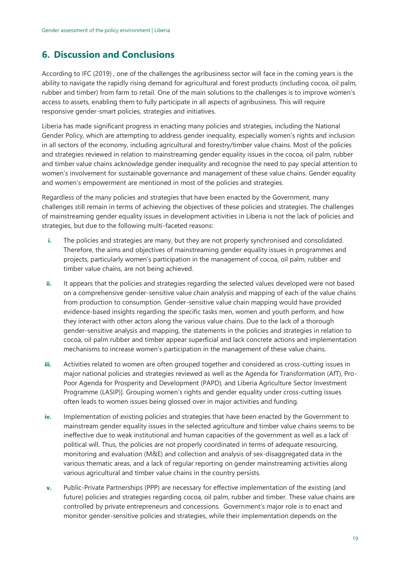# <span id="page-18-0"></span>**6. Discussion and Conclusions**

According to IFC (2019) , one of the challenges the agribusiness sector will face in the coming years is the ability to navigate the rapidly rising demand for agricultural and forest products (including cocoa, oil palm, rubber and timber) from farm to retail. One of the main solutions to the challenges is to improve women's access to assets, enabling them to fully participate in all aspects of agribusiness. This will require responsive gender-smart policies, strategies and initiatives.

Liberia has made significant progress in enacting many policies and strategies, including the National Gender Policy, which are attempting to address gender inequality, especially women's rights and inclusion in all sectors of the economy, including agricultural and forestry/timber value chains. Most of the policies and strategies reviewed in relation to mainstreaming gender equality issues in the cocoa, oil palm, rubber and timber value chains acknowledge gender inequality and recognise the need to pay special attention to women's involvement for sustainable governance and management of these value chains. Gender equality and women's empowerment are mentioned in most of the policies and strategies.

Regardless of the many policies and strategies that have been enacted by the Government, many challenges still remain in terms of achieving the objectives of these policies and strategies. The challenges of mainstreaming gender equality issues in development activities in Liberia is not the lack of policies and strategies, but due to the following multi-faceted reasons:

- **i.** The policies and strategies are many, but they are not properly synchronised and consolidated. Therefore, the aims and objectives of mainstreaming gender equality issues in programmes and projects, particularly women's participation in the management of cocoa, oil palm, rubber and timber value chains, are not being achieved.
- **ii.** It appears that the policies and strategies regarding the selected values developed were not based on a comprehensive gender-sensitive value chain analysis and mapping of each of the value chains from production to consumption. Gender-sensitive value chain mapping would have provided evidence-based insights regarding the specific tasks men, women and youth perform, and how they interact with other actors along the various value chains. Due to the lack of a thorough gender-sensitive analysis and mapping, the statements in the policies and strategies in relation to cocoa, oil palm rubber and timber appear superficial and lack concrete actions and implementation mechanisms to increase women's participation in the management of these value chains.
- **iii.** Activities related to women are often grouped together and considered as cross-cutting issues in major national policies and strategies reviewed as well as the Agenda for Transformation (AfT), Pro-Poor Agenda for Prosperity and Development (PAPD), and Liberia Agriculture Sector Investment Programme (LASIP)]. Grouping women's rights and gender equality under cross-cutting issues often leads to women issues being glossed over in major activities and funding.
- **iv.** Implementation of existing policies and strategies that have been enacted by the Government to mainstream gender equality issues in the selected agriculture and timber value chains seems to be ineffective due to weak institutional and human capacities of the government as well as a lack of political will. Thus, the policies are not properly coordinated in terms of adequate resourcing, monitoring and evaluation (M&E) and collection and analysis of sex-disaggregated data in the various thematic areas, and a lack of regular reporting on gender mainstreaming activities along various agricultural and timber value chains in the country persists.
- **v.** Public-Private Partnerships (PPP) are necessary for effective implementation of the existing (and future) policies and strategies regarding cocoa, oil palm, rubber and timber. These value chains are controlled by private entrepreneurs and concessions. Government's major role is to enact and monitor gender-sensitive policies and strategies, while their implementation depends on the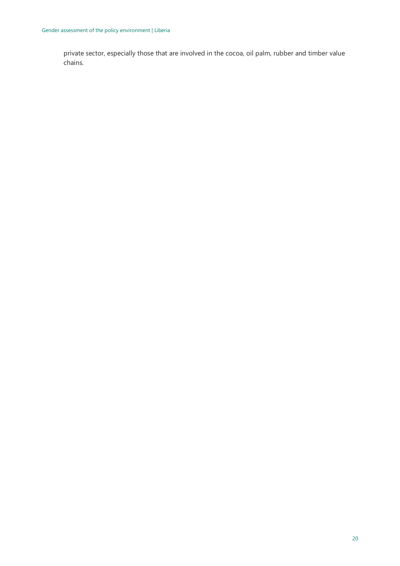private sector, especially those that are involved in the cocoa, oil palm, rubber and timber value chains.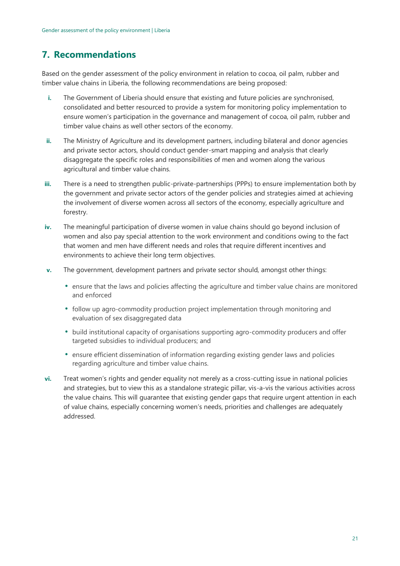# <span id="page-20-0"></span>**7. Recommendations**

Based on the gender assessment of the policy environment in relation to cocoa, oil palm, rubber and timber value chains in Liberia, the following recommendations are being proposed:

- **i.** The Government of Liberia should ensure that existing and future policies are synchronised, consolidated and better resourced to provide a system for monitoring policy implementation to ensure women's participation in the governance and management of cocoa, oil palm, rubber and timber value chains as well other sectors of the economy.
- **ii.** The Ministry of Agriculture and its development partners, including bilateral and donor agencies and private sector actors, should conduct gender-smart mapping and analysis that clearly disaggregate the specific roles and responsibilities of men and women along the various agricultural and timber value chains.
- **iii.** There is a need to strengthen public-private-partnerships (PPPs) to ensure implementation both by the government and private sector actors of the gender policies and strategies aimed at achieving the involvement of diverse women across all sectors of the economy, especially agriculture and forestry.
- **iv.** The meaningful participation of diverse women in value chains should go beyond inclusion of women and also pay special attention to the work environment and conditions owing to the fact that women and men have different needs and roles that require different incentives and environments to achieve their long term objectives.
- **v.** The government, development partners and private sector should, amongst other things:
	- ensure that the laws and policies affecting the agriculture and timber value chains are monitored and enforced
	- follow up agro-commodity production project implementation through monitoring and evaluation of sex disaggregated data
	- build institutional capacity of organisations supporting agro-commodity producers and offer targeted subsidies to individual producers; and
	- ensure efficient dissemination of information regarding existing gender laws and policies regarding agriculture and timber value chains.
- **vi.** Treat women's rights and gender equality not merely as a cross-cutting issue in national policies and strategies, but to view this as a standalone strategic pillar, vis-a-vis the various activities across the value chains. This will guarantee that existing gender gaps that require urgent attention in each of value chains, especially concerning women's needs, priorities and challenges are adequately addressed.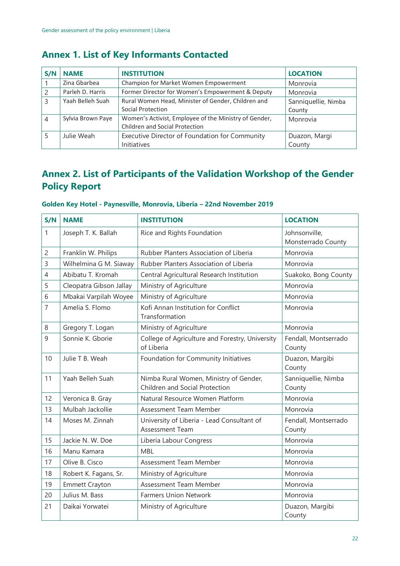# <span id="page-21-0"></span>**Annex 1. List of Key Informants Contacted**

| S/N | <b>NAME</b>       | <b>INSTITUTION</b>                                                                      | <b>LOCATION</b>               |  |
|-----|-------------------|-----------------------------------------------------------------------------------------|-------------------------------|--|
|     | Zina Gbarbea      | Champion for Market Women Empowerment                                                   | Monrovia                      |  |
|     | Parleh D. Harris  | Former Director for Women's Empowerment & Deputy                                        | Monrovia                      |  |
| 3   | Yaah Belleh Suah  | Rural Women Head, Minister of Gender, Children and<br>Social Protection                 | Sanniquellie, Nimba<br>County |  |
| 4   | Sylvia Brown Paye | Women's Activist, Employee of the Ministry of Gender,<br>Children and Social Protection | Monrovia                      |  |
|     | Julie Weah        | Executive Director of Foundation for Community<br>Initiatives                           | Duazon, Margi<br>County       |  |

# <span id="page-21-1"></span>**Annex 2. List of Participants of the Validation Workshop of the Gender Policy Report**

| S/N            | <b>NAME</b>             | <b>INSTITUTION</b>                                                       | <b>LOCATION</b>                     |
|----------------|-------------------------|--------------------------------------------------------------------------|-------------------------------------|
| $\mathbf{1}$   | Joseph T. K. Ballah     | Rice and Rights Foundation                                               | Johnsonville,<br>Monsterrado County |
| $\overline{c}$ | Franklin W. Philips     | Rubber Planters Association of Liberia                                   | Monrovia                            |
| 3              | Wilhelmina G M. Siaway  | Rubber Planters Association of Liberia                                   | Monrovia                            |
| $\overline{4}$ | Abibatu T. Kromah       | Central Agricultural Research Institution                                | Suakoko, Bong County                |
| 5              | Cleopatra Gibson Jallay | Ministry of Agriculture                                                  | Monrovia                            |
| 6              | Mbakai Varpilah Woyee   | Ministry of Agriculture                                                  | Monrovia                            |
| $\overline{7}$ | Amelia S. Flomo         | Kofi Annan Institution for Conflict<br>Transformation                    | Monrovia                            |
| 8              | Gregory T. Logan        | Ministry of Agriculture                                                  | Monrovia                            |
| 9              | Sonnie K. Gborie        | College of Agriculture and Forestry, University<br>of Liberia            | Fendall, Montserrado<br>County      |
| 10             | Julie T B. Weah         | Foundation for Community Initiatives                                     | Duazon, Margibi<br>County           |
| 11             | Yaah Belleh Suah        | Nimba Rural Women, Ministry of Gender,<br>Children and Social Protection | Sanniquellie, Nimba<br>County       |
| 12             | Veronica B. Gray        | Natural Resource Women Platform                                          | Monrovia                            |
| 13             | Mulbah Jackollie        | Assessment Team Member                                                   | Monrovia                            |
| 14             | Moses M. Zinnah         | University of Liberia - Lead Consultant of<br>Assessment Team            | Fendall, Montserrado<br>County      |
| 15             | Jackie N. W. Doe        | Liberia Labour Congress                                                  | Monrovia                            |
| 16             | Manu Kamara             | <b>MBL</b>                                                               | Monrovia                            |
| 17             | Olive B. Cisco          | Assessment Team Member                                                   | Monrovia                            |
| 18             | Robert K. Fagans, Sr.   | Ministry of Agriculture                                                  | Monrovia                            |
| 19             | <b>Emmett Crayton</b>   | Assessment Team Member                                                   | Monrovia                            |
| 20             | Julius M. Bass          | <b>Farmers Union Network</b>                                             | Monrovia                            |
| 21             | Daikai Yorwatei         | Ministry of Agriculture                                                  | Duazon, Margibi<br>County           |

#### **Golden Key Hotel - Paynesville, Monrovia, Liberia – 22nd November 2019**